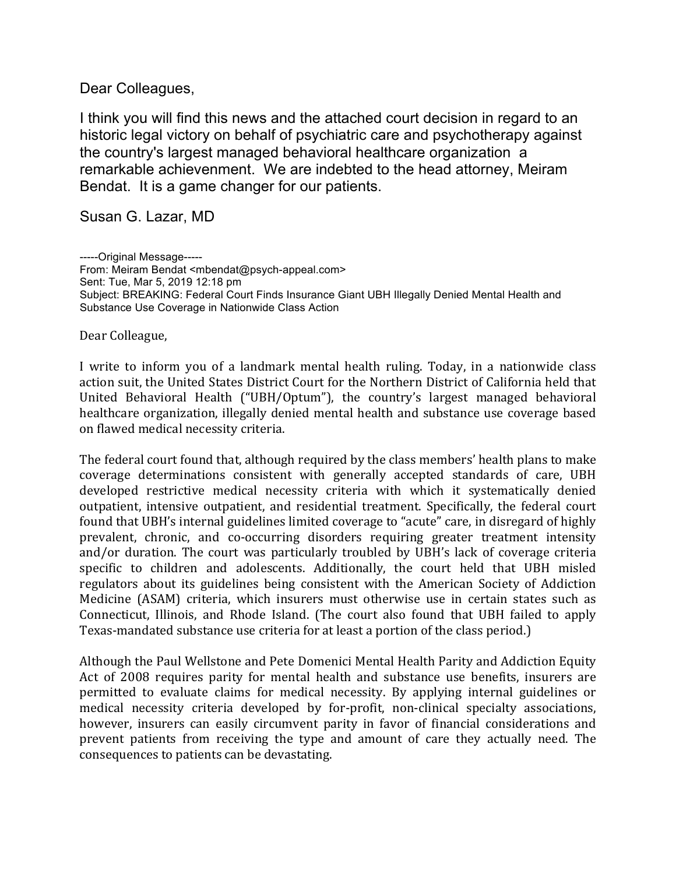Dear Colleagues,

I think you will find this news and the attached court decision in regard to an historic legal victory on behalf of psychiatric care and psychotherapy against the country's largest managed behavioral healthcare organization a remarkable achievenment. We are indebted to the head attorney, Meiram Bendat. It is a game changer for our patients.

Susan G. Lazar, MD

-----Original Message----- From: Meiram Bendat <mbendat@psych-appeal.com> Sent: Tue, Mar 5, 2019 12:18 pm Subject: BREAKING: Federal Court Finds Insurance Giant UBH Illegally Denied Mental Health and Substance Use Coverage in Nationwide Class Action

Dear Colleague,

I write to inform you of a landmark mental health ruling. Today, in a nationwide class action suit, the United States District Court for the Northern District of California held that United Behavioral Health ("UBH/Optum"), the country's largest managed behavioral healthcare organization, illegally denied mental health and substance use coverage based on flawed medical necessity criteria.

The federal court found that, although required by the class members' health plans to make coverage determinations consistent with generally accepted standards of care, UBH developed restrictive medical necessity criteria with which it systematically denied outpatient, intensive outpatient, and residential treatment. Specifically, the federal court found that UBH's internal guidelines limited coverage to "acute" care, in disregard of highly prevalent, chronic, and co-occurring disorders requiring greater treatment intensity and/or duration. The court was particularly troubled by UBH's lack of coverage criteria specific to children and adolescents. Additionally, the court held that UBH misled regulators about its guidelines being consistent with the American Society of Addiction Medicine (ASAM) criteria, which insurers must otherwise use in certain states such as Connecticut, Illinois, and Rhode Island. (The court also found that UBH failed to apply Texas-mandated substance use criteria for at least a portion of the class period.)

Although the Paul Wellstone and Pete Domenici Mental Health Parity and Addiction Equity Act of 2008 requires parity for mental health and substance use benefits, insurers are permitted to evaluate claims for medical necessity. By applying internal guidelines or medical necessity criteria developed by for-profit, non-clinical specialty associations, however, insurers can easily circumvent parity in favor of financial considerations and prevent patients from receiving the type and amount of care they actually need. The consequences to patients can be devastating.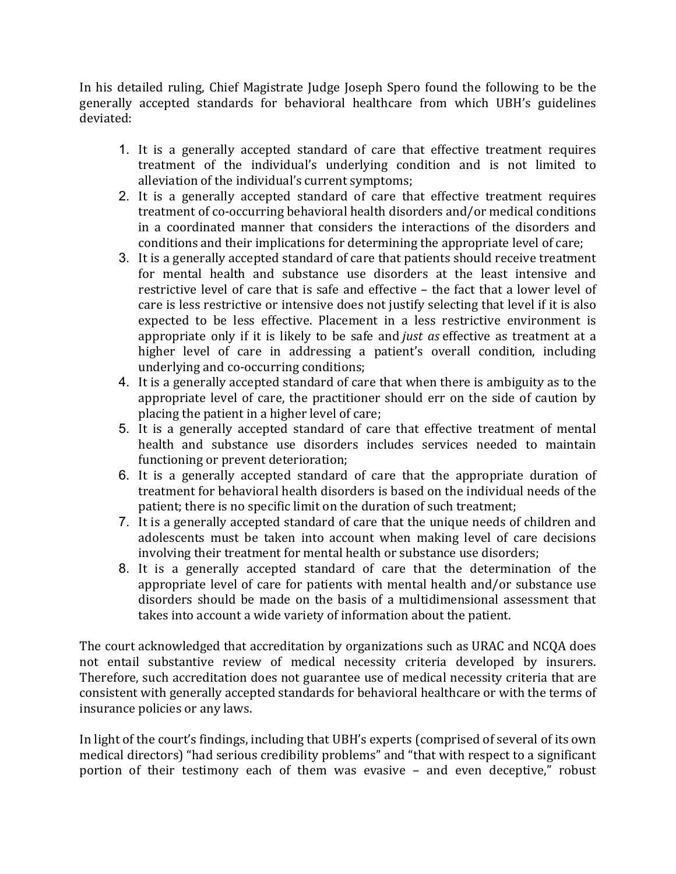In his detailed ruling, Chief Magistrate Judge Joseph Spero found the following to be the generally accepted standards for behavioral healthcare from which UBH's guidelines deviated:

- 1. It is a generally accepted standard of care that effective treatment requires treatment of the individual's underlying condition and is not limited to alleviation of the individual's current symptoms;
- 2. It is a generally accepted standard of care that effective treatment requires treatment of co-occurring behavioral health disorders and/or medical conditions in a coordinated manner that considers the interactions of the disorders and conditions and their implications for determining the appropriate level of care;
- 3. It is a generally accepted standard of care that patients should receive treatment for mental health and substance use disorders at the least intensive and restrictive level of care that is safe and effective  $-$  the fact that a lower level of care is less restrictive or intensive does not justify selecting that level if it is also expected to be less effective. Placement in a less restrictive environment is appropriate only if it is likely to be safe and *just as* effective as treatment at a higher level of care in addressing a patient's overall condition, including underlying and co-occurring conditions;
- 4. It is a generally accepted standard of care that when there is ambiguity as to the appropriate level of care, the practitioner should err on the side of caution by placing the patient in a higher level of care;
- 5. It is a generally accepted standard of care that effective treatment of mental health and substance use disorders includes services needed to maintain functioning or prevent deterioration;
- 6. It is a generally accepted standard of care that the appropriate duration of treatment for behavioral health disorders is based on the individual needs of the patient; there is no specific limit on the duration of such treatment;
- 7. It is a generally accepted standard of care that the unique needs of children and adolescents must be taken into account when making level of care decisions involving their treatment for mental health or substance use disorders;
- 8. It is a generally accepted standard of care that the determination of the appropriate level of care for patients with mental health and/or substance use disorders should be made on the basis of a multidimensional assessment that takes into account a wide variety of information about the patient.

The court acknowledged that accreditation by organizations such as URAC and NCQA does not entail substantive review of medical necessity criteria developed by insurers. Therefore, such accreditation does not guarantee use of medical necessity criteria that are consistent with generally accepted standards for behavioral healthcare or with the terms of insurance policies or any laws.

In light of the court's findings, including that UBH's experts (comprised of several of its own medical directors) "had serious credibility problems" and "that with respect to a significant portion of their testimony each of them was evasive - and even deceptive," robust